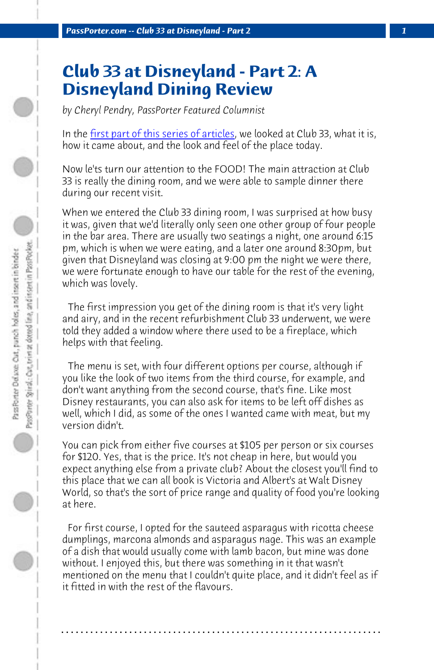*PassPorter.com -- Club 33 at Disneyland - Part 2 1*

## **Club 33 at Disneyland - Part 2: A Disneyland Dining Review**

*by Cheryl Pendry, PassPorter Featured Columnist*

In the first part of this series of articles, we looked at Club 33, what it is, how it came about, and the look and feel of the place today.

Now le'ts turn our attention to the FOOD! The main attraction at Club 33 is really the dining room, and we were able to sample dinner there during our recent visit.

When we entered the Club 33 dining room, I was surprised at how busy it was, given that we'd literally only seen one other group of four people in the bar area. There are usually two seatings a night, one around 6:15 pm, which is when we were eating, and a later one around 8:30pm, but given that Disneyland was closing at 9:00 pm the night we were there, we were fortunate enough to have our table for the rest of the evening, which was lovely.

 The first impression you get of the dining room is that it's very light and airy, and in the recent refurbishment Club 33 underwent, we were told they added a window where there used to be a fireplace, which helps with that feeling.

 The menu is set, with four different options per course, although if you like the look of two items from the third course, for example, and don't want anything from the second course, that's fine. Like most Disney restaurants, you can also ask for items to be left off dishes as well, which I did, as some of the ones I wanted came with meat, but my version didn't.

You can pick from either five courses at \$105 per person or six courses for \$120. Yes, that is the price. It's not cheap in here, but would you expect anything else from a private club? About the closest you'll find to this place that we can all book is Victoria and Albert's at Walt Disney World, so that's the sort of price range and quality of food you're looking at here.

 For first course, I opted for the sauteed asparagus with ricotta cheese dumplings, marcona almonds and asparagus nage. This was an example of a dish that would usually come with lamb bacon, but mine was done without. I enjoyed this, but there was something in it that wasn't mentioned on the menu that I couldn't quite place, and it didn't feel as if it fitted in with the rest of the flavours.

**. . . . . . . . . . . . . . . . . . . . . . . . . . . . . . . . . . . . . . . . . . . . . . . . . . . . . . . . . . . . . . . . . .**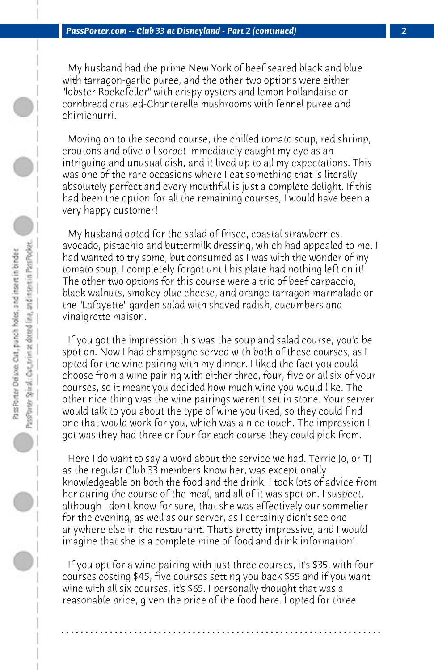My husband had the prime New York of beef seared black and blue with tarragon-garlic puree, and the other two options were either "lobster Rockefeller" with crispy oysters and lemon hollandaise or cornbread crusted-Chanterelle mushrooms with fennel puree and chimichurri.

 Moving on to the second course, the chilled tomato soup, red shrimp, croutons and olive oil sorbet immediately caught my eye as an intriguing and unusual dish, and it lived up to all my expectations. This was one of the rare occasions where I eat something that is literally absolutely perfect and every mouthful is just a complete delight. If this had been the option for all the remaining courses, I would have been a very happy customer!

 My husband opted for the salad of frisee, coastal strawberries, avocado, pistachio and buttermilk dressing, which had appealed to me. I had wanted to try some, but consumed as I was with the wonder of my tomato soup, I completely forgot until his plate had nothing left on it! The other two options for this course were a trio of beef carpaccio, black walnuts, smokey blue cheese, and orange tarragon marmalade or the "Lafayette" garden salad with shaved radish, cucumbers and vinaigrette maison.

 If you got the impression this was the soup and salad course, you'd be spot on. Now I had champagne served with both of these courses, as I opted for the wine pairing with my dinner. I liked the fact you could choose from a wine pairing with either three, four, five or all six of your courses, so it meant you decided how much wine you would like. The other nice thing was the wine pairings weren't set in stone. Your server would talk to you about the type of wine you liked, so they could find one that would work for you, which was a nice touch. The impression I got was they had three or four for each course they could pick from.

 Here I do want to say a word about the service we had. Terrie Jo, or TJ as the regular Club 33 members know her, was exceptionally knowledgeable on both the food and the drink. I took lots of advice from her during the course of the meal, and all of it was spot on. I suspect, although I don't know for sure, that she was effectively our sommelier for the evening, as well as our server, as I certainly didn't see one anywhere else in the restaurant. That's pretty impressive, and I would imagine that she is a complete mine of food and drink information!

 If you opt for a wine pairing with just three courses, it's \$35, with four courses costing \$45, five courses setting you back \$55 and if you want wine with all six courses, it's \$65. I personally thought that was a reasonable price, given the price of the food here. I opted for three

**. . . . . . . . . . . . . . . . . . . . . . . . . . . . . . . . . . . . . . . . . . . . . . . . . . . . . . . . . . . . . . . . . .**